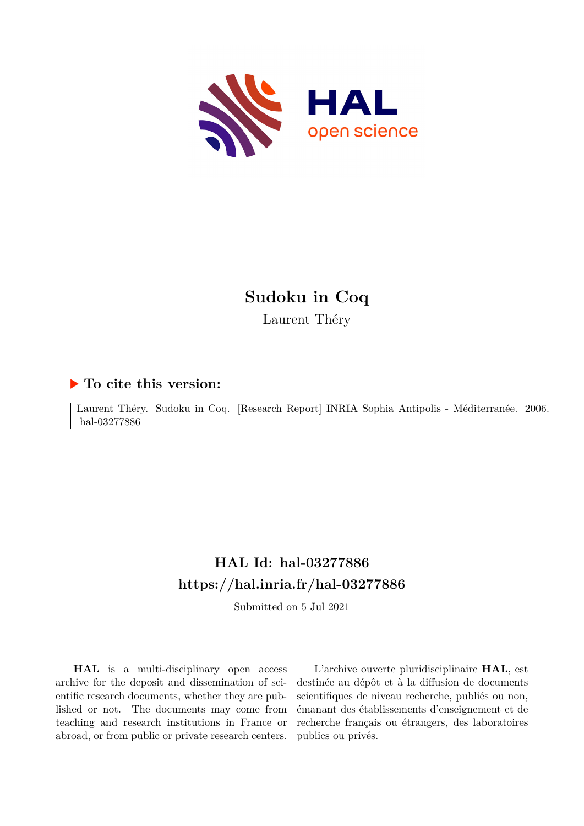

# **Sudoku in Coq**

Laurent Théry

### **To cite this version:**

Laurent Théry. Sudoku in Coq. [Research Report] INRIA Sophia Antipolis - Méditerranée. 2006. hal-03277886

# **HAL Id: hal-03277886 <https://hal.inria.fr/hal-03277886>**

Submitted on 5 Jul 2021

**HAL** is a multi-disciplinary open access archive for the deposit and dissemination of scientific research documents, whether they are published or not. The documents may come from teaching and research institutions in France or abroad, or from public or private research centers.

L'archive ouverte pluridisciplinaire **HAL**, est destinée au dépôt et à la diffusion de documents scientifiques de niveau recherche, publiés ou non, émanant des établissements d'enseignement et de recherche français ou étrangers, des laboratoires publics ou privés.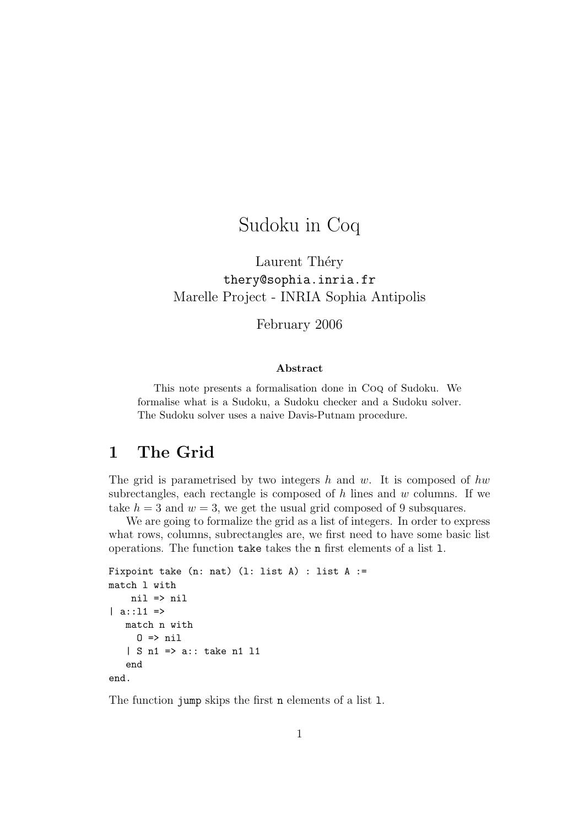# Sudoku in Coq

Laurent Théry thery@sophia.inria.fr Marelle Project - INRIA Sophia Antipolis

February 2006

#### Abstract

This note presents a formalisation done in Coq of Sudoku. We formalise what is a Sudoku, a Sudoku checker and a Sudoku solver. The Sudoku solver uses a naive Davis-Putnam procedure.

## 1 The Grid

The grid is parametrised by two integers h and w. It is composed of hw subrectangles, each rectangle is composed of  $h$  lines and  $w$  columns. If we take  $h = 3$  and  $w = 3$ , we get the usual grid composed of 9 subsquares.

We are going to formalize the grid as a list of integers. In order to express what rows, columns, subrectangles are, we first need to have some basic list operations. The function take takes the n first elements of a list l.

```
Fixpoint take (n: nat) (1: list A) : list A :=match l with
    nil => nil
| a::11 =>
   match n with
     0 \Rightarrow nil
   | S n1 => a:: take n1 l1
   end
end.
```
The function jump skips the first n elements of a list l.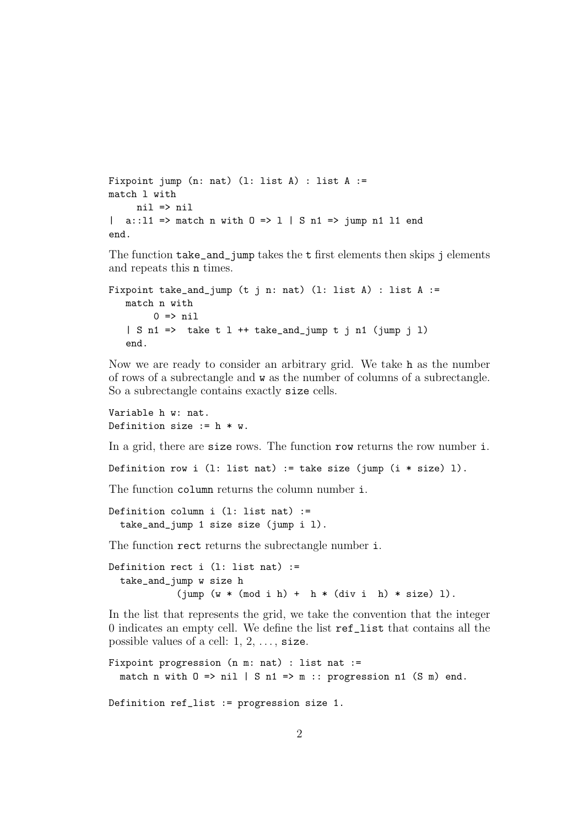```
Fixpoint jump (n: nat) (l: list A) : list A :=
match l with
     nil => nil
| a::11 => match n with 0 = > 1 | S n1 => jump n1 11 end
end.
```
The function take\_and\_jump takes the t first elements then skips j elements and repeats this n times.

```
Fixpoint take_and_jump (t j n: nat) (l: list A) : list A :=
   match n with
        0 \Rightarrow nil
   | S n1 => take t 1 ++ take_and_jump t j n1 (jump j 1)
   end.
```
Now we are ready to consider an arbitrary grid. We take h as the number of rows of a subrectangle and w as the number of columns of a subrectangle. So a subrectangle contains exactly size cells.

Variable h w: nat. Definition size  $:= h * w$ .

In a grid, there are size rows. The function row returns the row number i.

Definition row i (1: list nat) := take size (jump  $(i * size) 1$ ).

The function column returns the column number i.

```
Definition column i (1: list nat) :=take_and_jump 1 size size (jump i l).
```
The function rect returns the subrectangle number i.

```
Definition rect i (l: list nat) :=
  take_and_jump w size h
            (jump (w * (mod i h) + h * (div i h) * size) 1).
```
In the list that represents the grid, we take the convention that the integer 0 indicates an empty cell. We define the list ref\_list that contains all the possible values of a cell:  $1, 2, \ldots$ , size.

```
Fixpoint progression (n m: nat) : list nat :=
  match n with 0 \Rightarrow nil | S n1 => m :: progression n1 (S m) end.
Definition ref_list := progression size 1.
```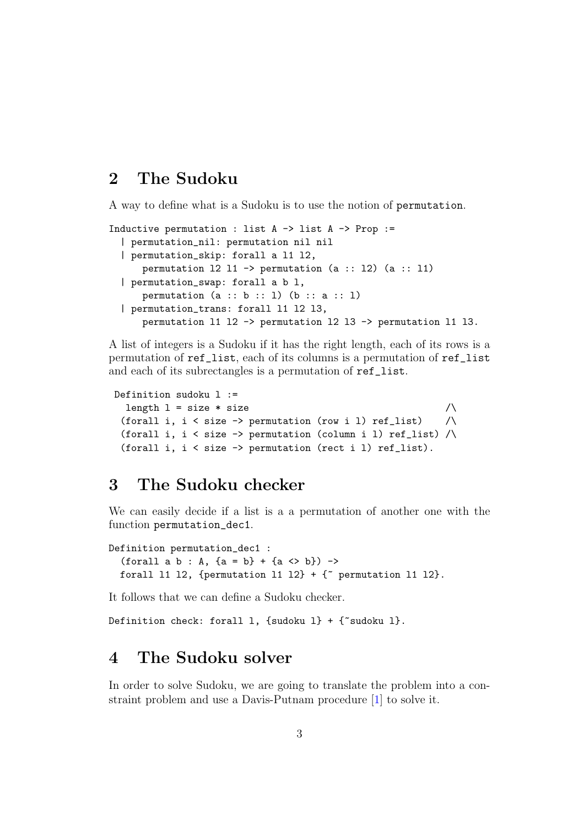### 2 The Sudoku

A way to define what is a Sudoku is to use the notion of permutation.

```
Inductive permutation : list A \rightarrow list A \rightarrow Prop :=
  | permutation_nil: permutation nil nil
  | permutation_skip: forall a l1 l2,
      permutation 12 11 -> permutation (a :: 12) (a :: 11)| permutation_swap: forall a b l,
      permutation (a :: b :: 1) (b :: a :: 1)| permutation_trans: forall l1 l2 l3,
      permutation l1 l2 -> permutation l2 l3 -> permutation l1 l3.
```
A list of integers is a Sudoku if it has the right length, each of its rows is a permutation of ref\_list, each of its columns is a permutation of ref\_list and each of its subrectangles is a permutation of ref\_list.

```
Definition sudoku l :=
 length l = size * size /
 (forall i, i < size -> permutation (row i l) ref_list) \land(forall i, i < size -> permutation (column i l) ref_list) /\
 (forall i, i < size -> permutation (rect i l) ref_list).
```
### 3 The Sudoku checker

We can easily decide if a list is a a permutation of another one with the function permutation\_dec1.

```
Definition permutation_dec1 :
  (forall a b : A, \{a = b\} + \{a \Leftrightarrow b\}) ->
  forall 11 12, {permutation 11 12} + {\tilde{ } permutation 11 12}.
```
It follows that we can define a Sudoku checker.

Definition check: forall 1, {sudoku 1} + { $\tilde{}$  sudoku 1}.

### 4 The Sudoku solver

In order to solve Sudoku, we are going to translate the problem into a constraint problem and use a Davis-Putnam procedure [\[1\]](#page-13-0) to solve it.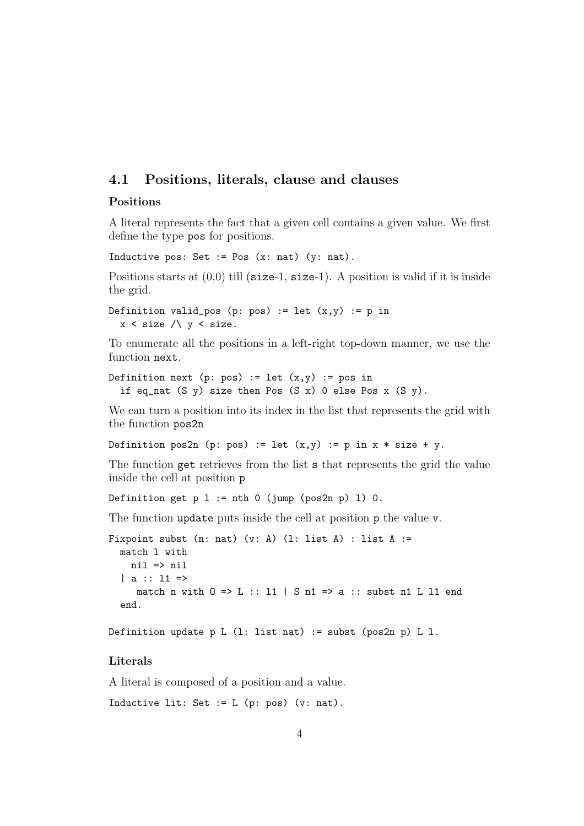### 4.1 Positions, literals, clause and clauses

### Positions

A literal represents the fact that a given cell contains a given value. We first define the type pos for positions.

Inductive pos: Set := Pos  $(x: nat)$   $(y: nat)$ .

Positions starts at  $(0,0)$  till (size-1, size-1). A position is valid if it is inside the grid.

```
Definition valid_pos (p: pos) := let (x,y) := p in
  x < size \land y < size.
```
To enumerate all the positions in a left-right top-down manner, we use the function next.

```
Definition next (p: pos) := let (x,y) := pos in
  if eq_nat (S \ y) size then Pos (S \ x) 0 else Pos x (S \ y).
```
We can turn a position into its index in the list that represents the grid with the function pos2n

Definition pos2n (p: pos) := let  $(x,y)$  := p in  $x * size + y$ .

The function get retrieves from the list s that represents the grid the value inside the cell at position p

Definition get  $p 1 := nth 0$  (jump (pos2n  $p) 1$ ) 0.

The function update puts inside the cell at position p the value v.

```
Fixpoint subst (n: nat) (v: A) (1: list A) : list A :=match l with
    nil => nil
  | a : : 11 = \ranglematch n with 0 \Rightarrow L :: 11 \mid S \n11 \Rightarrow a ::  subst n1 L 11 end
  end.
```
Definition update p L  $(l: list nat) := subst (pos2n p) L 1.$ 

### Literals

A literal is composed of a position and a value.

Inductive lit: Set :=  $L$  (p: pos) (v: nat).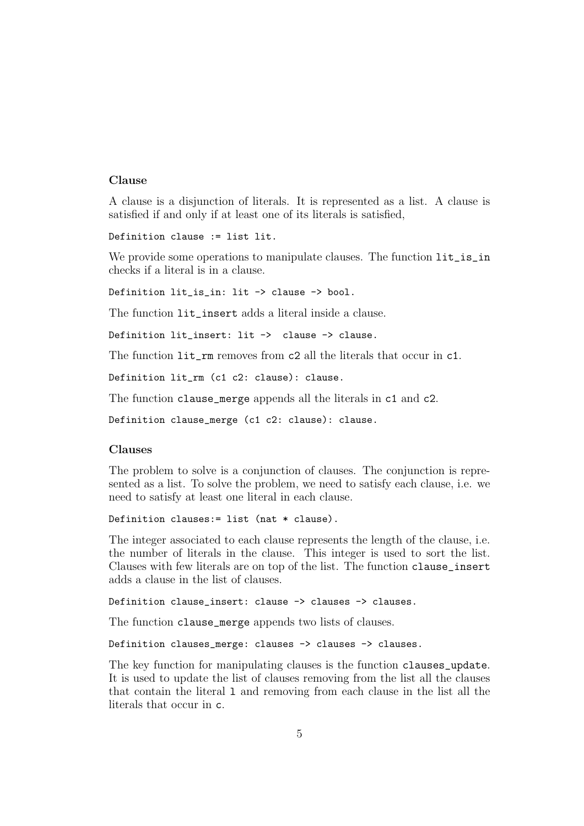#### Clause

A clause is a disjunction of literals. It is represented as a list. A clause is satisfied if and only if at least one of its literals is satisfied,

Definition clause := list lit.

We provide some operations to manipulate clauses. The function  $lit\_is\_in$ checks if a literal is in a clause.

Definition lit\_is\_in: lit -> clause -> bool.

The function  $lit\_insert$  adds a literal inside a clause.

Definition lit\_insert: lit -> clause -> clause.

The function lit\_rm removes from c2 all the literals that occur in c1.

Definition lit\_rm (c1 c2: clause): clause.

The function clause\_merge appends all the literals in c1 and c2.

Definition clause\_merge (c1 c2: clause): clause.

#### Clauses

The problem to solve is a conjunction of clauses. The conjunction is represented as a list. To solve the problem, we need to satisfy each clause, i.e. we need to satisfy at least one literal in each clause.

Definition clauses:= list (nat \* clause).

The integer associated to each clause represents the length of the clause, i.e. the number of literals in the clause. This integer is used to sort the list. Clauses with few literals are on top of the list. The function clause\_insert adds a clause in the list of clauses.

Definition clause\_insert: clause -> clauses -> clauses.

The function clause\_merge appends two lists of clauses.

Definition clauses\_merge: clauses -> clauses -> clauses.

The key function for manipulating clauses is the function clauses\_update. It is used to update the list of clauses removing from the list all the clauses that contain the literal l and removing from each clause in the list all the literals that occur in c.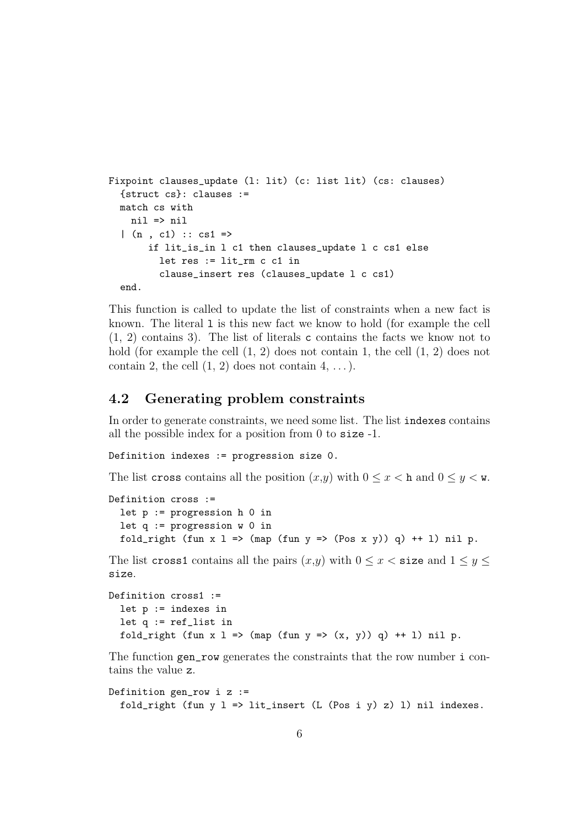```
Fixpoint clauses_update (l: lit) (c: list lit) (cs: clauses)
  {struct cs}: clauses :=
  match cs with
    nil => nil
  |(n, c1) :: cs1 \Rightarrowif lit_is_in l c1 then clauses_update l c cs1 else
         let res := lit_rm c c1 in
         clause_insert res (clauses_update l c cs1)
  end.
```
This function is called to update the list of constraints when a new fact is known. The literal l is this new fact we know to hold (for example the cell (1, 2) contains 3). The list of literals c contains the facts we know not to hold (for example the cell  $(1, 2)$  does not contain 1, the cell  $(1, 2)$  does not contain 2, the cell  $(1, 2)$  does not contain  $4, \ldots$ ).

### 4.2 Generating problem constraints

In order to generate constraints, we need some list. The list indexes contains all the possible index for a position from 0 to size -1.

Definition indexes := progression size 0.

The list cross contains all the position  $(x,y)$  with  $0 \le x < h$  and  $0 \le y < w$ .

```
Definition cross :=
  let p := progression h 0 in
  let q := program progression w 0 in
  fold_right (fun x \in \mathbb{R} => (map (fun y \Rightarrow (Pos x \in y)) q) ++ 1) nil p.
```
The list cross1 contains all the pairs  $(x,y)$  with  $0 \leq x <$  size and  $1 \leq y \leq$ size.

```
Definition cross1 :=
  let p := indexes in
  let q := ref_list in
  fold_right (fun x 1 => (map (fun y => (x, y)) q) ++ 1) nil p.
```
The function gen\_row generates the constraints that the row number i contains the value z.

```
Definition gen_row i z :=
  fold_right (fun y l \Rightarrow lit_insert (L (Pos i y) z) l) nil indexes.
```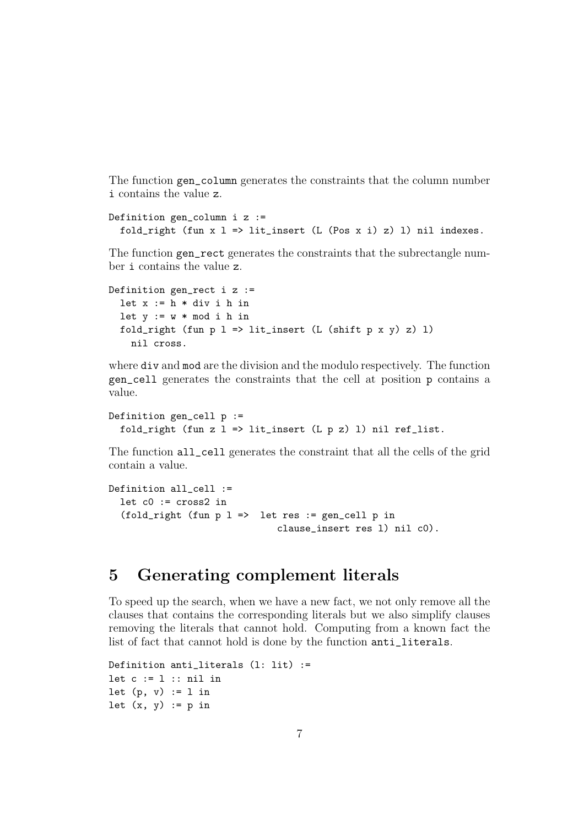The function gen\_column generates the constraints that the column number i contains the value z.

```
Definition gen_column i z :=
  fold_right (fun x l => lit_insert (L (Pos x i) z) l) nil indexes.
```
The function gen rect generates the constraints that the subrectangle number i contains the value z.

```
Definition gen_rect i z :=
  let x := h * div i h in
  let y := w * mod i h in
  fold_right (fun p l => lit_insert (L (shift p x y) z) 1)
    nil cross.
```
where div and mod are the division and the modulo respectively. The function gen\_cell generates the constraints that the cell at position p contains a value.

```
Definition gen_cell p :=
  fold_right (fun z l \Rightarrow lit_{\text{insert}} (L p z) 1) nil ref_list.
```
The function all\_cell generates the constraint that all the cells of the grid contain a value.

```
Definition all_cell :=
  let c0 := cross2 in
  (fold\_right (fun p 1 => let res := gen\_cell p inclause_insert res l) nil c0).
```
## 5 Generating complement literals

To speed up the search, when we have a new fact, we not only remove all the clauses that contains the corresponding literals but we also simplify clauses removing the literals that cannot hold. Computing from a known fact the list of fact that cannot hold is done by the function anti\_literals.

```
Definition anti_literals (l: lit) :=
let c := 1 :: nil in
let (p, v) := 1 in
let (x, y) := p in
```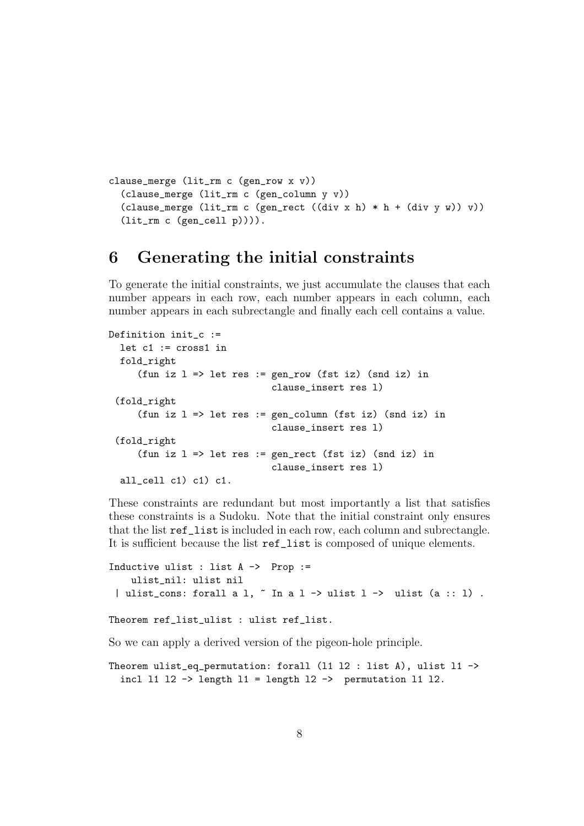```
clause_merge (lit_rm c (gen_row x v))
  (clause_merge (lit_rm c (gen_column y v))
  (clause_merge (lit_rm c (gen_rect ((div x h) * h + (div y w)) v))
  (lit_rm c (gen_cell p)))).
```
### 6 Generating the initial constraints

To generate the initial constraints, we just accumulate the clauses that each number appears in each row, each number appears in each column, each number appears in each subrectangle and finally each cell contains a value.

```
Definition init_c :=
  let c1 := cross1 in
  fold_right
     (fun iz l \Rightarrow let res := gen_row (fst iz) (snd iz) in
                              clause_insert res l)
 (fold_right
     (fun iz l => let res := gen_column (fst iz) (snd iz) in
                              clause_insert res l)
 (fold_right
     (fun iz l => let res := gen_rect (fst iz) (snd iz) in
                              clause_insert res l)
  all_cell c1) c1) c1.
```
These constraints are redundant but most importantly a list that satisfies these constraints is a Sudoku. Note that the initial constraint only ensures that the list ref\_list is included in each row, each column and subrectangle. It is sufficient because the list ref\_list is composed of unique elements.

```
Inductive ulist : list A \rightarrow Prop :=
    ulist_nil: ulist nil
 | ulist_cons: forall a l, \tilde{ } In a l -> ulist l -> ulist (a :: 1) .
Theorem ref_list_ulist : ulist ref_list.
So we can apply a derived version of the pigeon-hole principle.
```

```
Theorem ulist_eq_permutation: forall (l1 l2 : list A), ulist l1 ->
  incl 11 12 \rightarrow length 11 = length 12 \rightarrow permutation 11 12.
```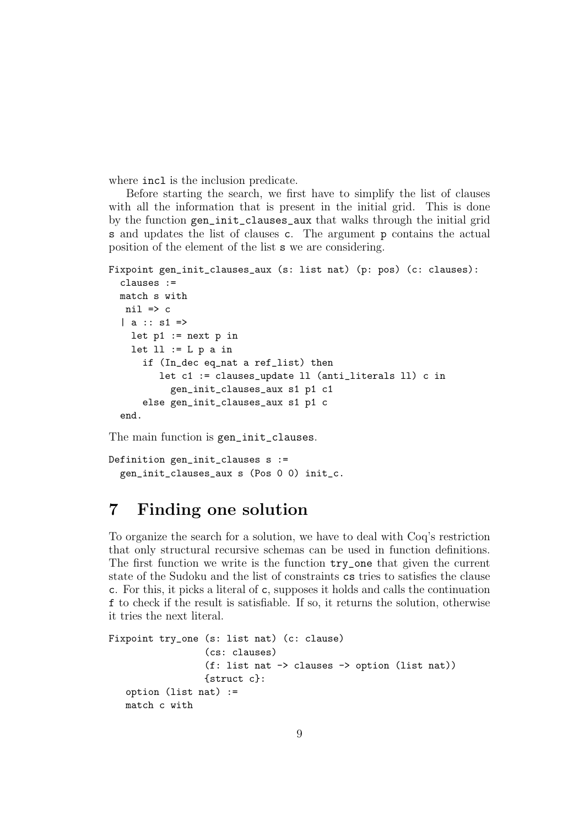where  $\text{incl}\$  is the inclusion predicate.

Before starting the search, we first have to simplify the list of clauses with all the information that is present in the initial grid. This is done by the function gen\_init\_clauses\_aux that walks through the initial grid s and updates the list of clauses c. The argument p contains the actual position of the element of the list s we are considering.

```
Fixpoint gen_init_clauses_aux (s: list nat) (p: pos) (c: clauses):
  clauses :=
  match s with
   nil \Rightarrow c| a : : s1 =let p1 := next p in
    let 11 := L p a inif (In_dec eq_nat a ref_list) then
         let c1 := clauses_update ll (anti_literals ll) c in
           gen_init_clauses_aux s1 p1 c1
      else gen_init_clauses_aux s1 p1 c
  end.
```
The main function is gen\_init\_clauses.

```
Definition gen_init_clauses s :=
  gen_init_clauses_aux s (Pos 0 0) init_c.
```
## 7 Finding one solution

To organize the search for a solution, we have to deal with Coq's restriction that only structural recursive schemas can be used in function definitions. The first function we write is the function try\_one that given the current state of the Sudoku and the list of constraints cs tries to satisfies the clause c. For this, it picks a literal of c, supposes it holds and calls the continuation f to check if the result is satisfiable. If so, it returns the solution, otherwise it tries the next literal.

```
Fixpoint try_one (s: list nat) (c: clause)
                 (cs: clauses)
                 (f: list nat -> clauses -> option (list nat))
                 {struct c}:
   option (list nat) :=
   match c with
```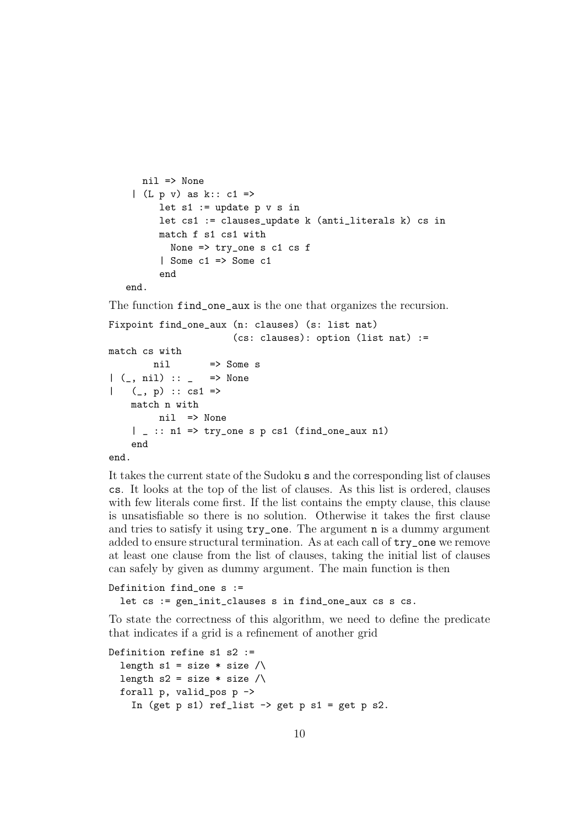```
nil => None
 |(L p v) as k:: c1 =>
      let s1 := update p v s inlet cs1 := clauses_update k (anti_literals k) cs in
      match f s1 cs1 with
        None \Rightarrow try_one s c1 cs f
      | Some c1 => Some c1
      end
end.
```
The function find\_one\_aux is the one that organizes the recursion.

```
Fixpoint find_one_aux (n: clauses) (s: list nat)
                      (cs: clauses): option (list nat) :=
match cs with
        nil => Some s
| (_, nil) :: _ => None
   (_{-}, p) :: cs1 =>
    match n with
        nil => None
    | _ :: n1 => try_one s p cs1 (find_one_aux n1)
    end
end.
```
It takes the current state of the Sudoku s and the corresponding list of clauses cs. It looks at the top of the list of clauses. As this list is ordered, clauses with few literals come first. If the list contains the empty clause, this clause is unsatisfiable so there is no solution. Otherwise it takes the first clause and tries to satisfy it using try\_one. The argument n is a dummy argument added to ensure structural termination. As at each call of try\_one we remove at least one clause from the list of clauses, taking the initial list of clauses can safely by given as dummy argument. The main function is then

```
Definition find_one s :=
```

```
let cs := gen_init_clauses s in find_one_aux cs s cs.
```
To state the correctness of this algorithm, we need to define the predicate that indicates if a grid is a refinement of another grid

```
Definition refine s1 s2 :=
  length s1 = size * size /\sqrt{ }length s2 = size * size /\sqrt{ }forall p, valid_pos p ->
    In (get p s1) ref_list \rightarrow get p s1 = get p s2.
```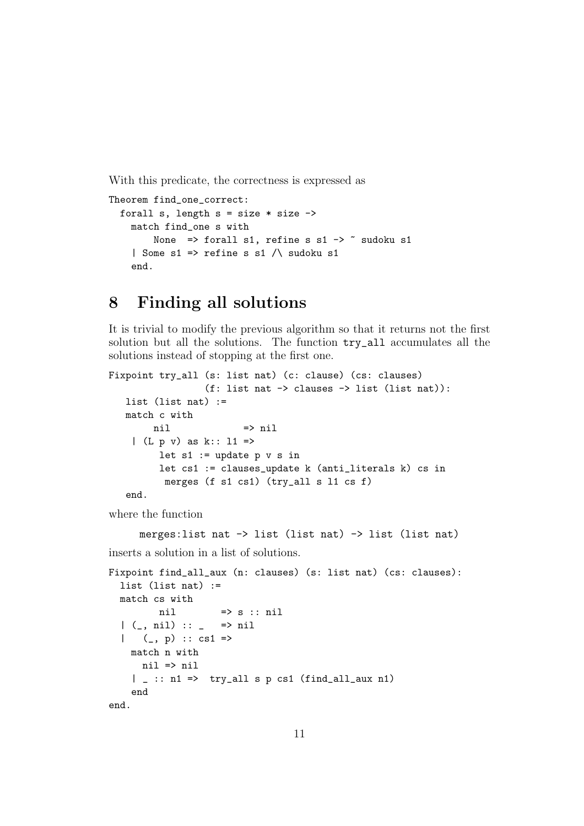With this predicate, the correctness is expressed as

```
Theorem find_one_correct:
  forall s, length s = size * size \rightarrowmatch find_one s with
        None => forall s1, refine s s1 -> \tilde{ } sudoku s1
    | Some s1 => refine s s1 \land sudoku s1
    end.
```
## 8 Finding all solutions

It is trivial to modify the previous algorithm so that it returns not the first solution but all the solutions. The function try\_all accumulates all the solutions instead of stopping at the first one.

```
Fixpoint try_all (s: list nat) (c: clause) (cs: clauses)
                (f: list nat -> clauses -> list (list nat)):
  list (list nat) :=
  match c with
       nil => nil
    | (L p v) as k:: l1 =>
        let s1 := update p v s inlet cs1 := clauses_update k (anti_literals k) cs in
         merges (f s1 cs1) (try_all s l1 cs f)
   end.
```
where the function

merges:list nat -> list (list nat) -> list (list nat) inserts a solution in a list of solutions.

```
Fixpoint find_all_aux (n: clauses) (s: list nat) (cs: clauses):
  list (list nat) :=
  match cs with
         nil \Rightarrow s :: nil
  | (-, nil) :: - \implies nil| (\_ , p) :: cs1 =>
    match n with
      nil => nil
    | \Box :: n1 => try_all s p cs1 (find_all_aux n1)
    end
end.
```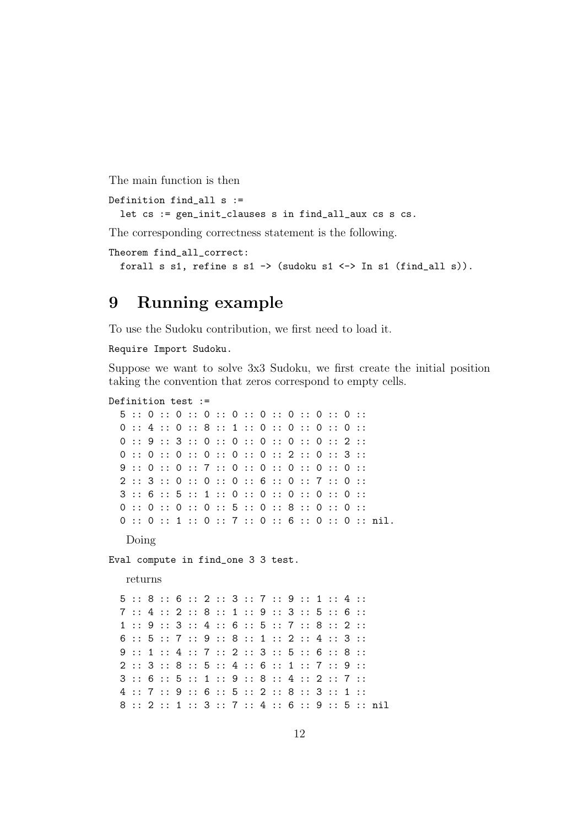The main function is then

```
Definition find_all s :=
  let cs := gen_init_clauses s in find_all_aux cs s cs.
```
The corresponding correctness statement is the following.

```
Theorem find_all_correct:
  forall s s1, refine s s1 -> (sudoku s1 <-> In s1 (find_all s)).
```
### 9 Running example

To use the Sudoku contribution, we first need to load it.

Require Import Sudoku.

Suppose we want to solve 3x3 Sudoku, we first create the initial position taking the convention that zeros correspond to empty cells.

#### Definition test :=

```
5 :: 0 :: 0 :: 0 :: 0 :: 0 :: 0 :: 0 :: 0 ::
0 :: 4 :: 0 :: 8 :: 1 :: 0 :: 0 :: 0 :: 0 :: 0 ::
0 :: 9 :: 3 :: 0 :: 0 :: 0 :: 0 :: 0 :: 2 ::
0 :: 0 :: 0 :: 0 :: 0 :: 0 :: 2 :: 0 :: 3 ::
9 :: 0 :: 0 :: 7 :: 0 :: 0 :: 0 :: 0 :: 0 ::
2 :: 3 :: 0 :: 0 :: 0 :: 6 :: 0 :: 7 :: 0 ::
3 :: 6 :: 5 :: 1 :: 0 :: 0 :: 0 :: 0 :: 0 ::
0 :: 0 :: 0 :: 0 :: 5 :: 0 :: 8 :: 0 :: 0 ::
0 :: 0 :: 1 :: 0 :: 7 :: 0 :: 6 :: 0 :: 0 :: nil.
```
Doing

Eval compute in find\_one 3 3 test.

returns

5 :: 8 :: 6 :: 2 :: 3 :: 7 :: 9 :: 1 :: 4 :: 7 :: 4 :: 2 :: 8 :: 1 :: 9 :: 3 :: 5 :: 6 :: 1 :: 9 :: 3 :: 4 :: 6 :: 5 :: 7 :: 8 :: 2 :: 6 :: 5 :: 7 :: 9 :: 8 :: 1 :: 2 :: 4 :: 3 :: 9 :: 1 :: 4 :: 7 :: 2 :: 3 :: 5 :: 6 :: 8 :: 2 :: 3 :: 8 :: 5 :: 4 :: 6 :: 1 :: 7 :: 9 :: 3 :: 6 :: 5 :: 1 :: 9 :: 8 :: 4 :: 2 :: 7 :: 4 :: 7 :: 9 :: 6 :: 5 :: 2 :: 8 :: 3 :: 1 :: 8 :: 2 :: 1 :: 3 :: 7 :: 4 :: 6 :: 9 :: 5 :: nil